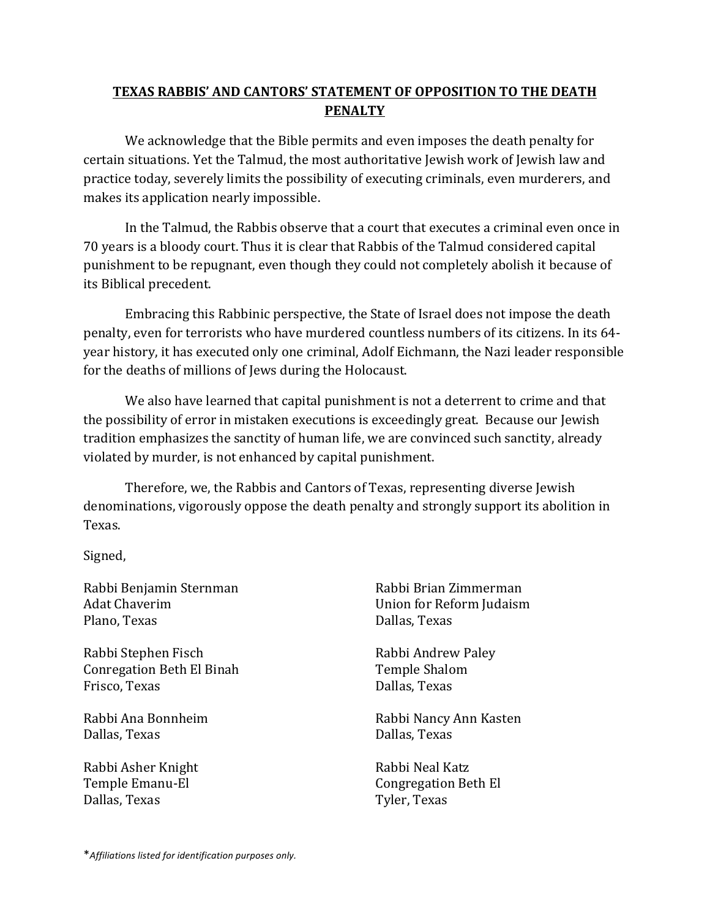## **TEXAS RABBIS' AND CANTORS' STATEMENT OF OPPOSITION TO THE DEATH PENALTY**

We acknowledge that the Bible permits and even imposes the death penalty for certain situations. Yet the Talmud, the most authoritative Jewish work of Jewish law and practice today, severely limits the possibility of executing criminals, even murderers, and makes its application nearly impossible.

In the Talmud, the Rabbis observe that a court that executes a criminal even once in 70 years is a bloody court. Thus it is clear that Rabbis of the Talmud considered capital punishment to be repugnant, even though they could not completely abolish it because of its Biblical precedent.

Embracing this Rabbinic perspective, the State of Israel does not impose the death penalty, even for terrorists who have murdered countless numbers of its citizens. In its 64year history, it has executed only one criminal, Adolf Eichmann, the Nazi leader responsible for the deaths of millions of Jews during the Holocaust.

We also have learned that capital punishment is not a deterrent to crime and that the possibility of error in mistaken executions is exceedingly great. Because our Jewish tradition emphasizes the sanctity of human life, we are convinced such sanctity, already violated by murder, is not enhanced by capital punishment.

Therefore, we, the Rabbis and Cantors of Texas, representing diverse Jewish denominations, vigorously oppose the death penalty and strongly support its abolition in Texas.

Signed,

Rabbi Benjamin Sternman Adat Chaverim Plano, Texas

Rabbi Stephen Fisch Conregation Beth El Binah Frisco, Texas

Rabbi Ana Bonnheim Dallas, Texas

Rabbi Asher Knight Temple Emanu-El Dallas, Texas

Rabbi Brian Zimmerman Union for Reform Judaism Dallas, Texas

Rabbi Andrew Paley Temple Shalom Dallas, Texas

Rabbi Nancy Ann Kasten Dallas, Texas

Rabbi Neal Katz Congregation Beth El Tyler, Texas